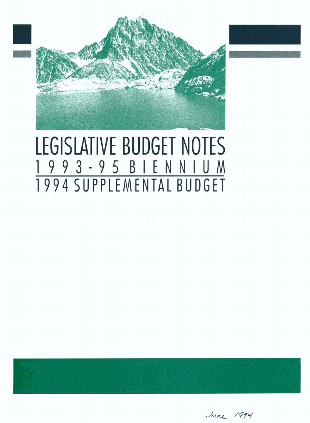

# LEGISLATIVE BUDGET NOTES 1993-95 BIENNIUM 1994 SUPPLEMENTAL BUDGET



June 1994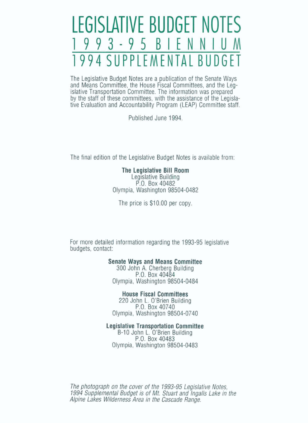## **EGISLATIVE BUDGET NOT** 93-95 BIEN SUPPLEMENTAL BU

The Legislative Budget Notes are a publication of the Senate Ways<br>and Means Committee, the House Fiscal Committees, and the Leg-<br>islative Transportation Committee. The information was prepared<br>by the staff of these committ

Published June 1994.

The final edition of the Legislative Budget Motes is available from:

### **The Legislative Bill Room**

P.O. Box 40482 Olympia, Washington 98504-0482

The price is \$10.00 per copy.

For more detailed information regarding the 1993-95 legislative budgets, contact:

#### **Senate Ways and** Means **Committee**

300 John A. Cherberg Building P.O. Box 40484 Olympia, Washington **98504-0484** 

#### **House Fiscal Committees**

**<sup>220</sup>**John L. **O'Brien** Building P.O. Box 40740 Olympia, Washington 98504-0740

#### **Legislative Transportation Committee**

**B-10** John L. O'Brien Building P.O. Box 40483 Olympia, Washington 98504-0483

The **photograph** on **the** cover **of** the **1993-95 legislative Notes, 1994 Sup** *lemental* **Bud~et is of** Mt. *Stuart* **and Ingalls Lake** in **the Alpine Lakes Wilderness Area in the Cascade Range.**